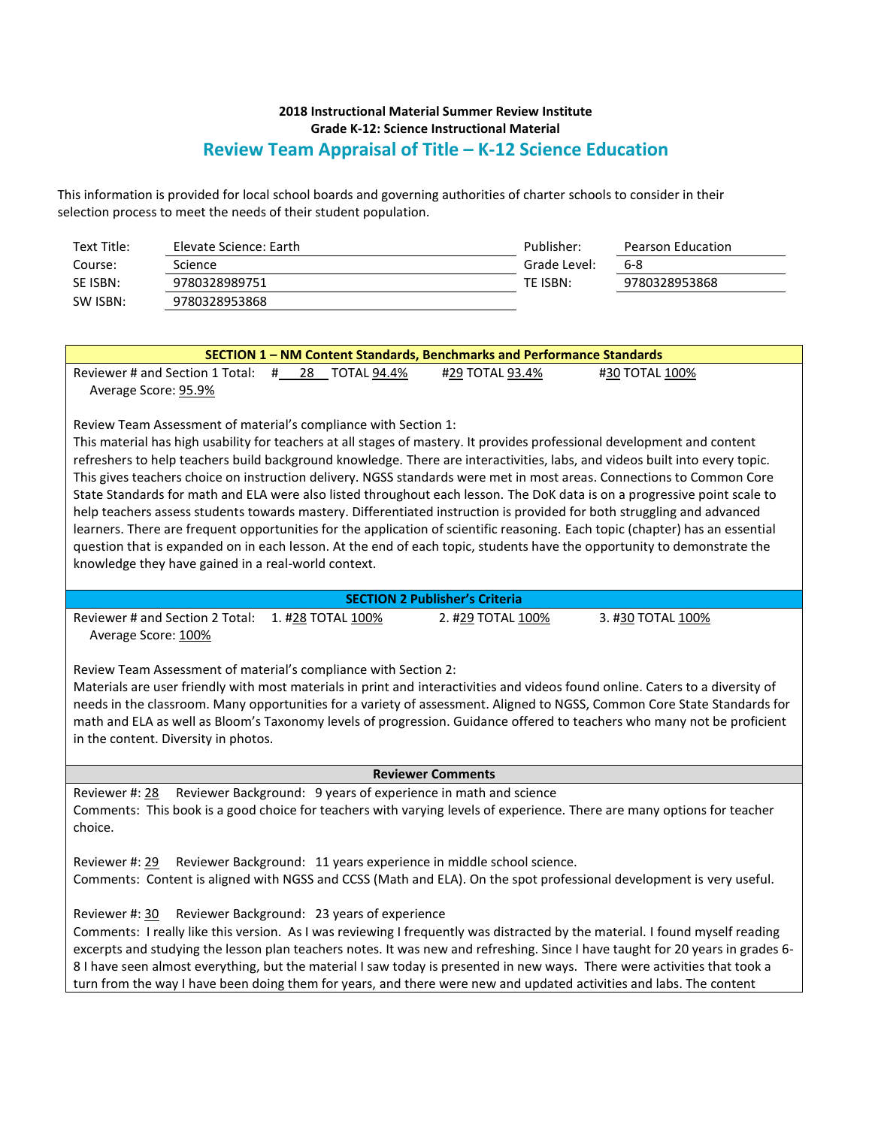| Text Title: | Elevate Science: Earth | Publisher:   | Pearson Education |
|-------------|------------------------|--------------|-------------------|
| Course:     | Science                | Grade Level: | 6-8               |
| SE ISBN:    | 9780328989751          | TE ISBN:     | 9780328953868     |
| SW ISBN:    | 9780328953868          |              |                   |

| SECTION 1 - NM Content Standards, Benchmarks and Performance Standards                                                                                                                                                                                                                                                                                                                                                                                                                                                                                                                                                                                                                                                                                                                                                                                                                                                                                                                                                        |  |  |  |  |
|-------------------------------------------------------------------------------------------------------------------------------------------------------------------------------------------------------------------------------------------------------------------------------------------------------------------------------------------------------------------------------------------------------------------------------------------------------------------------------------------------------------------------------------------------------------------------------------------------------------------------------------------------------------------------------------------------------------------------------------------------------------------------------------------------------------------------------------------------------------------------------------------------------------------------------------------------------------------------------------------------------------------------------|--|--|--|--|
| Reviewer # and Section 1 Total: # 28 TOTAL 94.4%<br>#29 TOTAL 93.4%<br>#30 TOTAL 100%<br>Average Score: 95.9%                                                                                                                                                                                                                                                                                                                                                                                                                                                                                                                                                                                                                                                                                                                                                                                                                                                                                                                 |  |  |  |  |
| Review Team Assessment of material's compliance with Section 1:<br>This material has high usability for teachers at all stages of mastery. It provides professional development and content<br>refreshers to help teachers build background knowledge. There are interactivities, labs, and videos built into every topic.<br>This gives teachers choice on instruction delivery. NGSS standards were met in most areas. Connections to Common Core<br>State Standards for math and ELA were also listed throughout each lesson. The DoK data is on a progressive point scale to<br>help teachers assess students towards mastery. Differentiated instruction is provided for both struggling and advanced<br>learners. There are frequent opportunities for the application of scientific reasoning. Each topic (chapter) has an essential<br>question that is expanded on in each lesson. At the end of each topic, students have the opportunity to demonstrate the<br>knowledge they have gained in a real-world context. |  |  |  |  |
| <b>SECTION 2 Publisher's Criteria</b>                                                                                                                                                                                                                                                                                                                                                                                                                                                                                                                                                                                                                                                                                                                                                                                                                                                                                                                                                                                         |  |  |  |  |
| 1. #28 TOTAL 100%<br>Reviewer # and Section 2 Total:<br>2. #29 TOTAL 100%<br>3. #30 TOTAL 100%<br>Average Score: 100%<br>Review Team Assessment of material's compliance with Section 2:<br>Materials are user friendly with most materials in print and interactivities and videos found online. Caters to a diversity of<br>needs in the classroom. Many opportunities for a variety of assessment. Aligned to NGSS, Common Core State Standards for<br>math and ELA as well as Bloom's Taxonomy levels of progression. Guidance offered to teachers who many not be proficient<br>in the content. Diversity in photos.                                                                                                                                                                                                                                                                                                                                                                                                     |  |  |  |  |
| <b>Reviewer Comments</b>                                                                                                                                                                                                                                                                                                                                                                                                                                                                                                                                                                                                                                                                                                                                                                                                                                                                                                                                                                                                      |  |  |  |  |
| Reviewer Background: 9 years of experience in math and science<br>Reviewer #: 28<br>Comments: This book is a good choice for teachers with varying levels of experience. There are many options for teacher<br>choice.                                                                                                                                                                                                                                                                                                                                                                                                                                                                                                                                                                                                                                                                                                                                                                                                        |  |  |  |  |
| Reviewer Background: 11 years experience in middle school science.<br>Reviewer #: 29<br>Comments: Content is aligned with NGSS and CCSS (Math and ELA). On the spot professional development is very useful.                                                                                                                                                                                                                                                                                                                                                                                                                                                                                                                                                                                                                                                                                                                                                                                                                  |  |  |  |  |
| Reviewer Background: 23 years of experience<br>Reviewer #: 30<br>Comments: I really like this version. As I was reviewing I frequently was distracted by the material. I found myself reading<br>excerpts and studying the lesson plan teachers notes. It was new and refreshing. Since I have taught for 20 years in grades 6-<br>8 I have seen almost everything, but the material I saw today is presented in new ways. There were activities that took a<br>turn from the way I have been doing them for years, and there were new and updated activities and labs. The content                                                                                                                                                                                                                                                                                                                                                                                                                                           |  |  |  |  |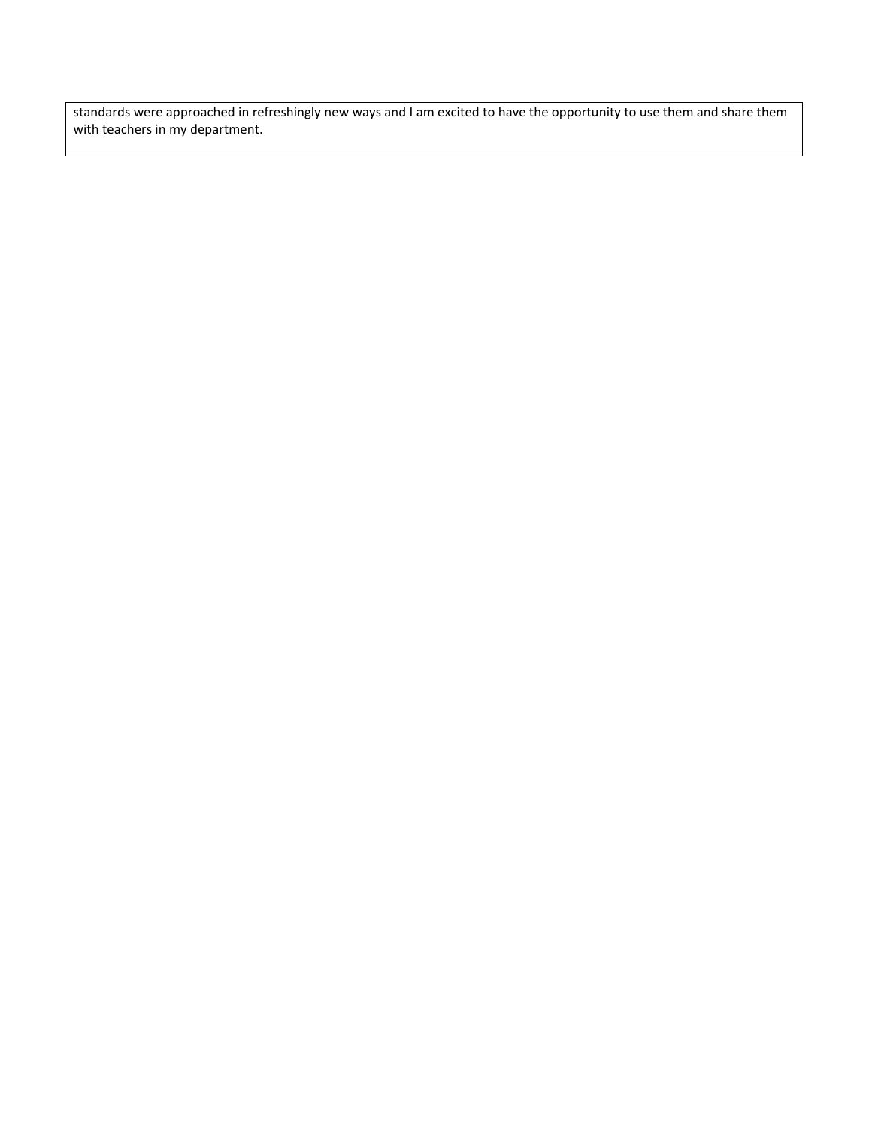standards were approached in refreshingly new ways and I am excited to have the opportunity to use them and share them with teachers in my department.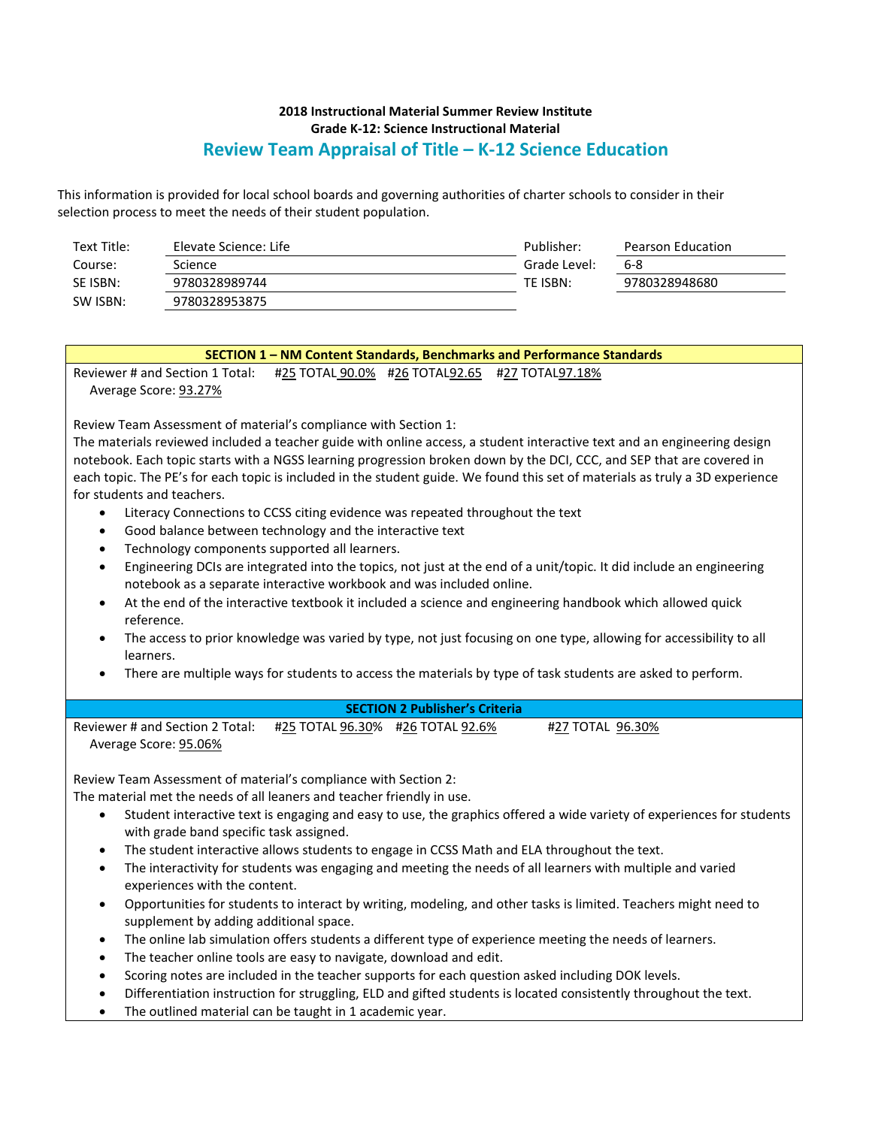| Text Title: | Elevate Science: Life | Publisher:   | Pearson Education |
|-------------|-----------------------|--------------|-------------------|
| Course:     | Science               | Grade Level: | 6-8               |
| SE ISBN:    | 9780328989744         | TE ISBN:     | 9780328948680     |
| SW ISBN:    | 9780328953875         |              |                   |

| SECTION 1 - NM Content Standards, Benchmarks and Performance Standards                                                                                                                                |  |  |  |
|-------------------------------------------------------------------------------------------------------------------------------------------------------------------------------------------------------|--|--|--|
| Reviewer # and Section 1 Total:<br>#25 TOTAL 90.0% #26 TOTAL92.65 #27 TOTAL97.18%                                                                                                                     |  |  |  |
| Average Score: 93.27%                                                                                                                                                                                 |  |  |  |
|                                                                                                                                                                                                       |  |  |  |
| Review Team Assessment of material's compliance with Section 1:                                                                                                                                       |  |  |  |
| The materials reviewed included a teacher guide with online access, a student interactive text and an engineering design                                                                              |  |  |  |
| notebook. Each topic starts with a NGSS learning progression broken down by the DCI, CCC, and SEP that are covered in                                                                                 |  |  |  |
| each topic. The PE's for each topic is included in the student guide. We found this set of materials as truly a 3D experience                                                                         |  |  |  |
| for students and teachers.                                                                                                                                                                            |  |  |  |
| Literacy Connections to CCSS citing evidence was repeated throughout the text<br>$\bullet$                                                                                                            |  |  |  |
| Good balance between technology and the interactive text<br>$\bullet$                                                                                                                                 |  |  |  |
| Technology components supported all learners.<br>$\bullet$                                                                                                                                            |  |  |  |
| Engineering DCIs are integrated into the topics, not just at the end of a unit/topic. It did include an engineering<br>$\bullet$                                                                      |  |  |  |
| notebook as a separate interactive workbook and was included online.                                                                                                                                  |  |  |  |
| At the end of the interactive textbook it included a science and engineering handbook which allowed quick<br>$\bullet$                                                                                |  |  |  |
| reference.                                                                                                                                                                                            |  |  |  |
| The access to prior knowledge was varied by type, not just focusing on one type, allowing for accessibility to all<br>$\bullet$                                                                       |  |  |  |
| learners.                                                                                                                                                                                             |  |  |  |
| There are multiple ways for students to access the materials by type of task students are asked to perform.                                                                                           |  |  |  |
|                                                                                                                                                                                                       |  |  |  |
| <b>SECTION 2 Publisher's Criteria</b>                                                                                                                                                                 |  |  |  |
| Reviewer # and Section 2 Total:<br>#25 TOTAL 96.30% #26 TOTAL 92.6%<br>#27 TOTAL 96.30%                                                                                                               |  |  |  |
| Average Score: 95.06%                                                                                                                                                                                 |  |  |  |
|                                                                                                                                                                                                       |  |  |  |
|                                                                                                                                                                                                       |  |  |  |
| Review Team Assessment of material's compliance with Section 2:                                                                                                                                       |  |  |  |
| The material met the needs of all leaners and teacher friendly in use.                                                                                                                                |  |  |  |
| Student interactive text is engaging and easy to use, the graphics offered a wide variety of experiences for students<br>$\bullet$                                                                    |  |  |  |
| with grade band specific task assigned.                                                                                                                                                               |  |  |  |
| The student interactive allows students to engage in CCSS Math and ELA throughout the text.<br>$\bullet$                                                                                              |  |  |  |
| The interactivity for students was engaging and meeting the needs of all learners with multiple and varied<br>$\bullet$                                                                               |  |  |  |
| experiences with the content.                                                                                                                                                                         |  |  |  |
| Opportunities for students to interact by writing, modeling, and other tasks is limited. Teachers might need to<br>$\bullet$                                                                          |  |  |  |
| supplement by adding additional space.                                                                                                                                                                |  |  |  |
| The online lab simulation offers students a different type of experience meeting the needs of learners.<br>$\bullet$                                                                                  |  |  |  |
| The teacher online tools are easy to navigate, download and edit.<br>$\bullet$                                                                                                                        |  |  |  |
| Scoring notes are included in the teacher supports for each question asked including DOK levels.<br>$\bullet$                                                                                         |  |  |  |
| Differentiation instruction for struggling, ELD and gifted students is located consistently throughout the text.<br>$\bullet$<br>The outlined material can be taught in 1 academic year.<br>$\bullet$ |  |  |  |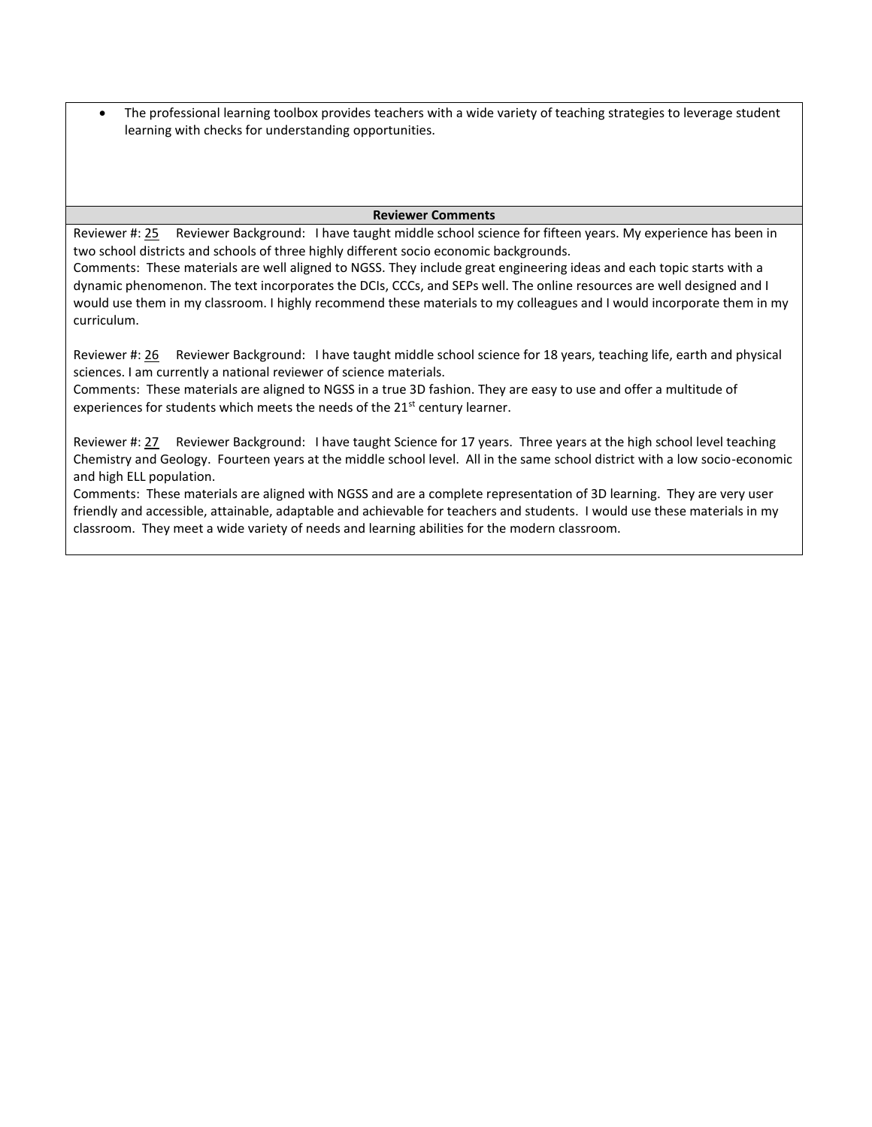• The professional learning toolbox provides teachers with a wide variety of teaching strategies to leverage student learning with checks for understanding opportunities.

#### **Reviewer Comments**

Reviewer #: 25 Reviewer Background: I have taught middle school science for fifteen years. My experience has been in two school districts and schools of three highly different socio economic backgrounds.

Comments: These materials are well aligned to NGSS. They include great engineering ideas and each topic starts with a dynamic phenomenon. The text incorporates the DCIs, CCCs, and SEPs well. The online resources are well designed and I would use them in my classroom. I highly recommend these materials to my colleagues and I would incorporate them in my curriculum.

Reviewer #: 26 Reviewer Background: I have taught middle school science for 18 years, teaching life, earth and physical sciences. I am currently a national reviewer of science materials.

Comments: These materials are aligned to NGSS in a true 3D fashion. They are easy to use and offer a multitude of experiences for students which meets the needs of the 21<sup>st</sup> century learner.

Reviewer #: 27 Reviewer Background: I have taught Science for 17 years. Three years at the high school level teaching Chemistry and Geology. Fourteen years at the middle school level. All in the same school district with a low socio-economic and high ELL population.

Comments: These materials are aligned with NGSS and are a complete representation of 3D learning. They are very user friendly and accessible, attainable, adaptable and achievable for teachers and students. I would use these materials in my classroom. They meet a wide variety of needs and learning abilities for the modern classroom.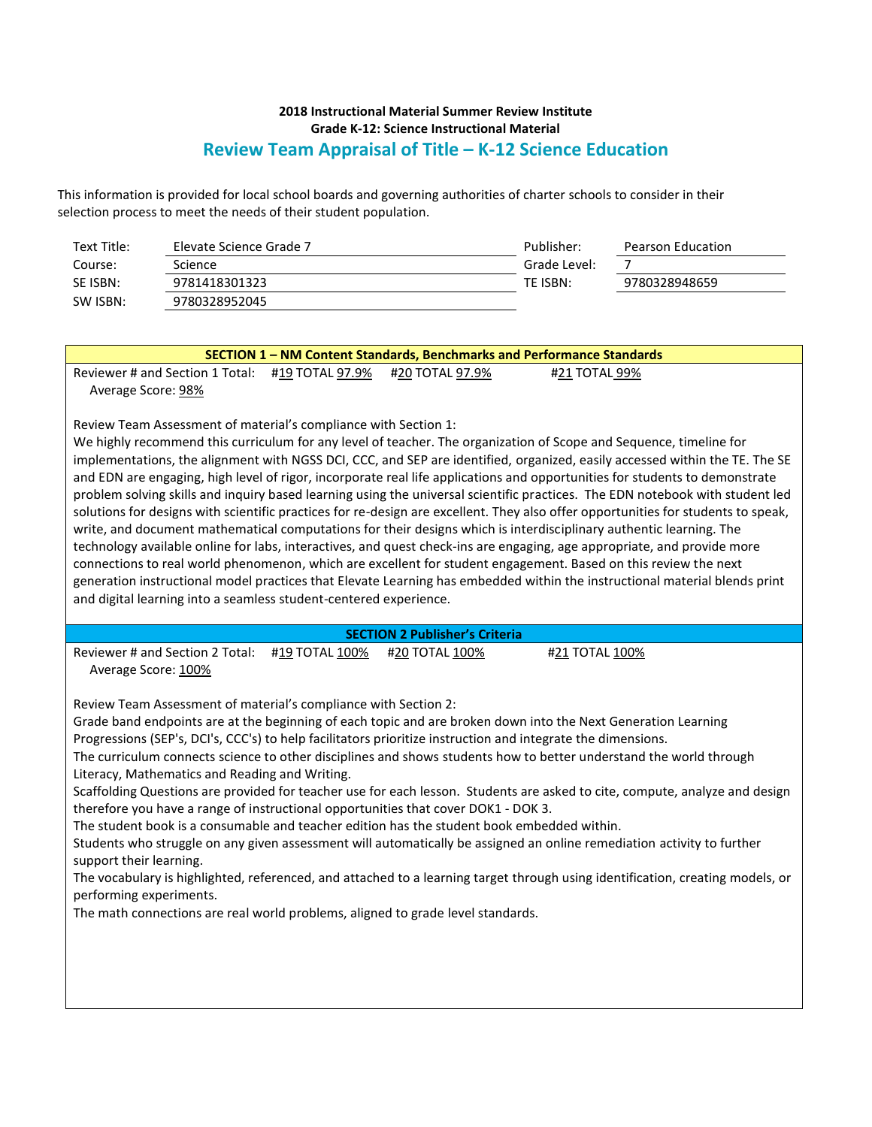| Text Title: | Elevate Science Grade 7 | Publisher:   | Pearson Education |
|-------------|-------------------------|--------------|-------------------|
| Course:     | Science                 | Grade Level: |                   |
| SE ISBN:    | 9781418301323           | TE ISBN:     | 9780328948659     |
| SW ISBN:    | 9780328952045           |              |                   |

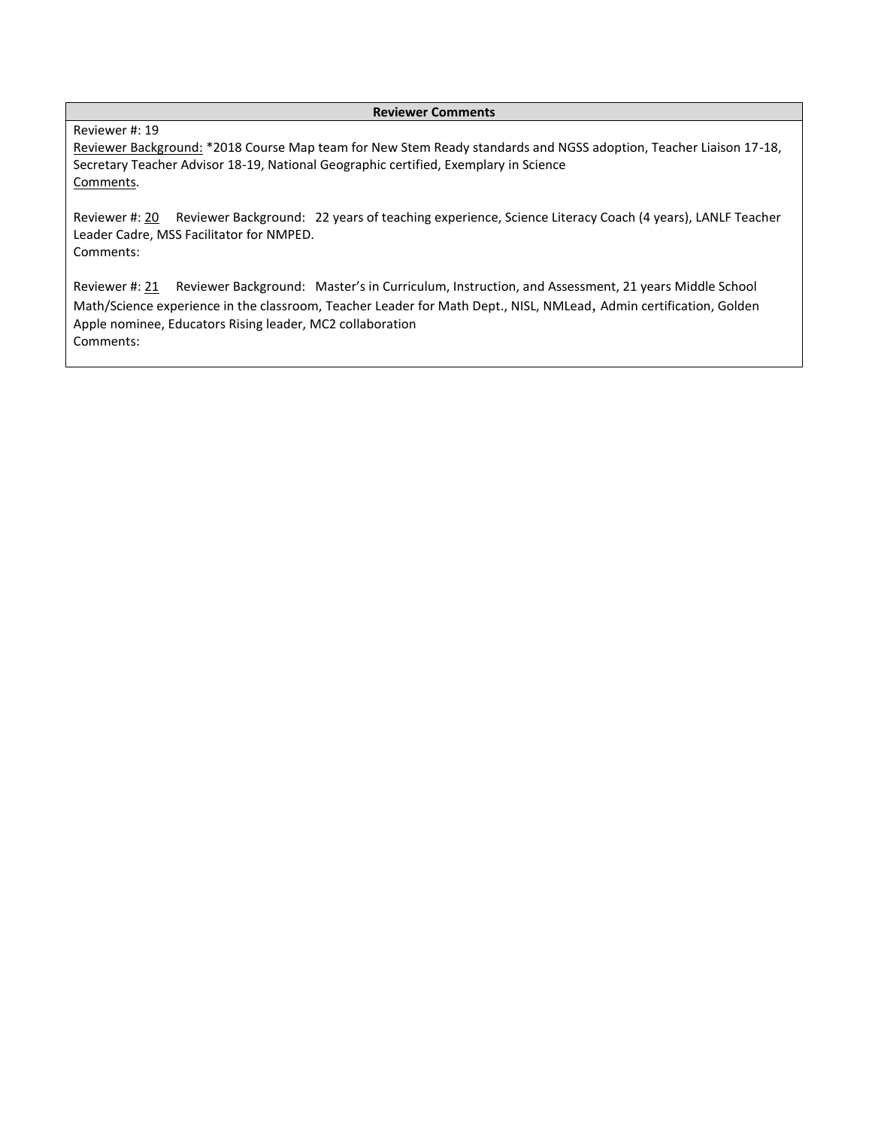#### **Reviewer Comments**

### Reviewer #: 19

Reviewer Background: \*2018 Course Map team for New Stem Ready standards and NGSS adoption, Teacher Liaison 17-18, Secretary Teacher Advisor 18-19, National Geographic certified, Exemplary in Science Comments.

Reviewer #: 20 Reviewer Background: 22 years of teaching experience, Science Literacy Coach (4 years), LANLF Teacher Leader Cadre, MSS Facilitator for NMPED. Comments:

Reviewer #: 21 Reviewer Background: Master's in Curriculum, Instruction, and Assessment, 21 years Middle School Math/Science experience in the classroom, Teacher Leader for Math Dept., NISL, NMLead, Admin certification, Golden Apple nominee, Educators Rising leader, MC2 collaboration Comments: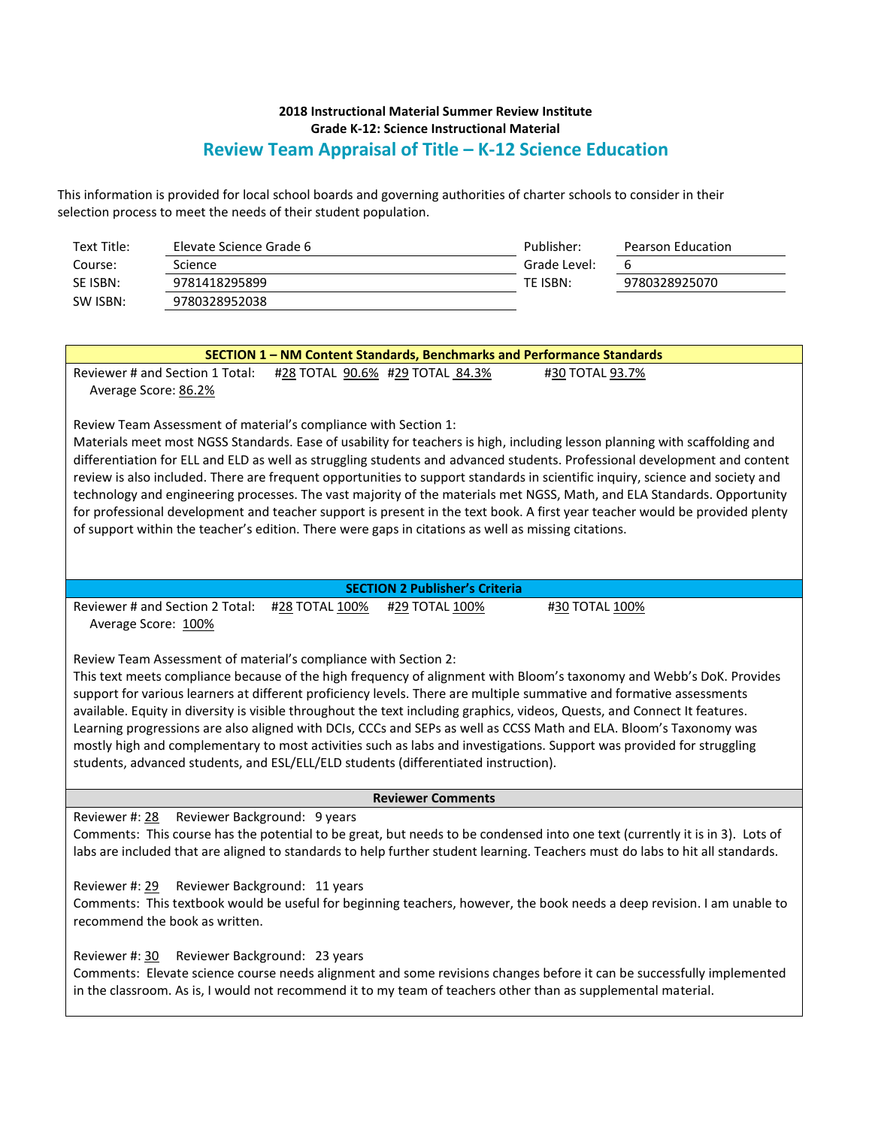| Text Title: | Elevate Science Grade 6 | Publisher:   | Pearson Education |
|-------------|-------------------------|--------------|-------------------|
| Course:     | Science                 | Grade Level: | b                 |
| SE ISBN:    | 9781418295899           | TE ISBN:     | 9780328925070     |
| SW ISBN:    | 9780328952038           |              |                   |

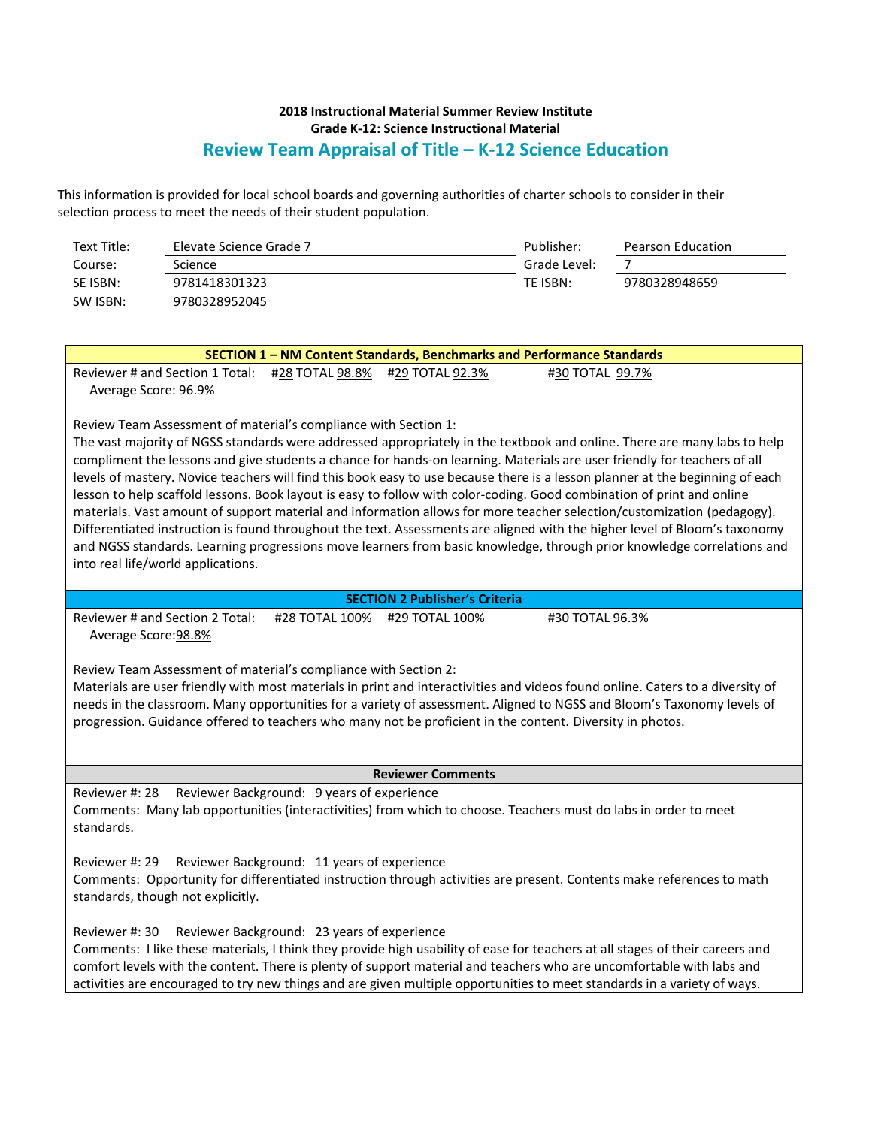| Text Title: | Elevate Science Grade 7 | Publisher:   | Pearson Education |
|-------------|-------------------------|--------------|-------------------|
| Course:     | Science                 | Grade Level: |                   |
| SE ISBN:    | 9781418301323           | TE ISBN:     | 9780328948659     |
| SW ISBN:    | 9780328952045           |              |                   |

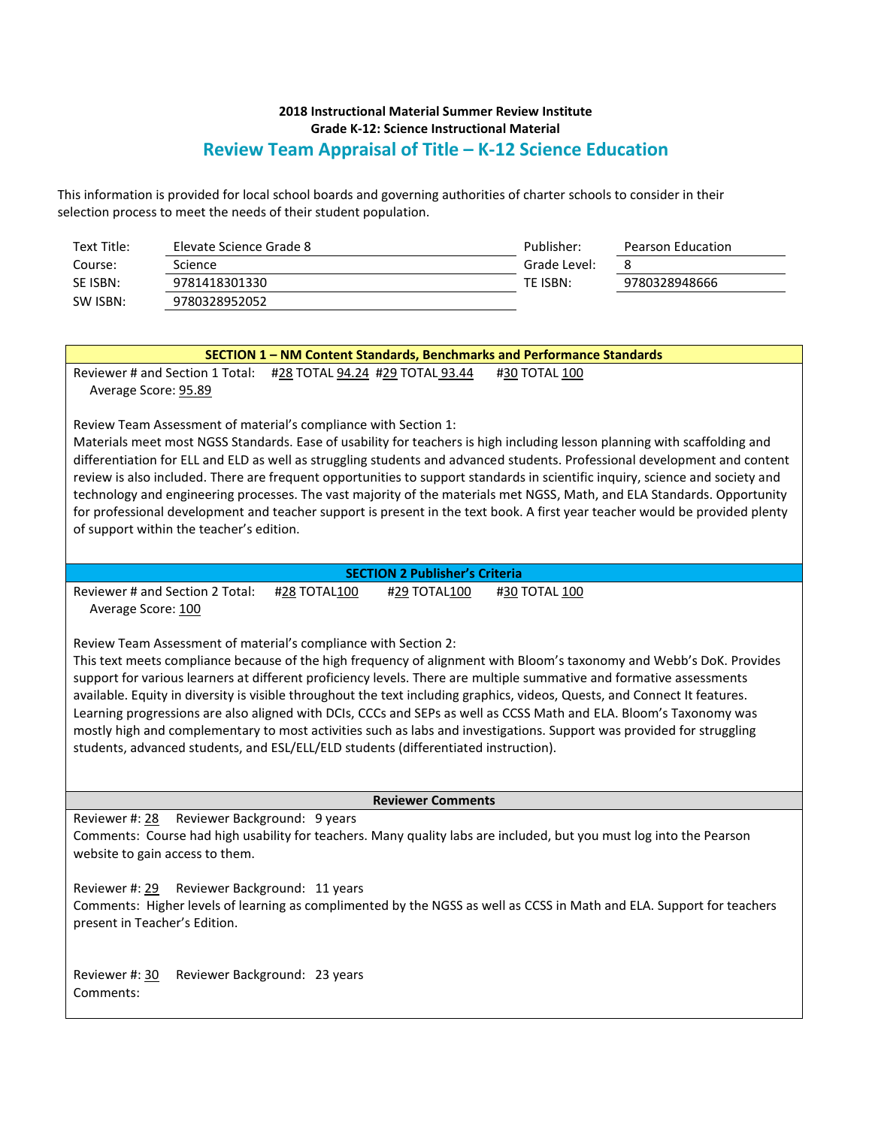| Text Title: | Elevate Science Grade 8 | Publisher:   | Pearson Education |
|-------------|-------------------------|--------------|-------------------|
| Course:     | Science                 | Grade Level: | 8                 |
| SE ISBN:    | 9781418301330           | TE ISBN:     | 9780328948666     |
| SW ISBN:    | 9780328952052           |              |                   |

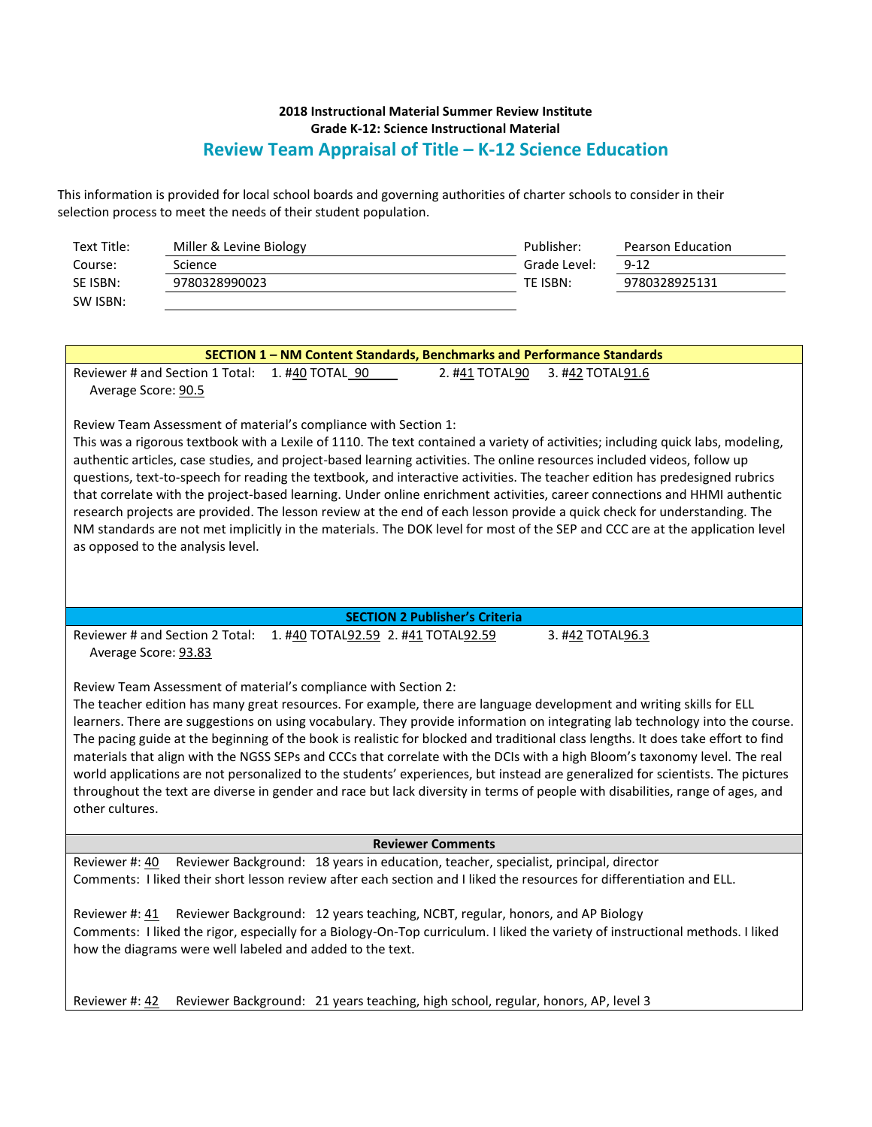| Text Title: | Miller & Levine Biology | Publisher:   | Pearson Education |
|-------------|-------------------------|--------------|-------------------|
| Course:     | Science                 | Grade Level: | $9 - 12$          |
| SE ISBN:    | 9780328990023           | TE ISBN:     | 9780328925131     |
| SW ISBN:    |                         |              |                   |